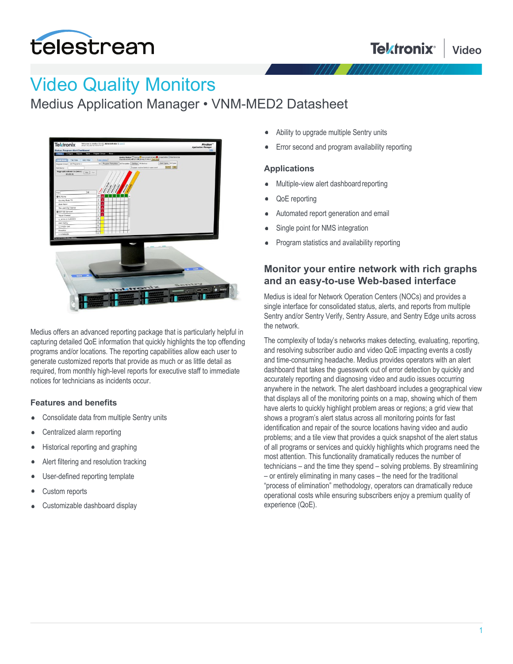

# Video Quality Monitors

Medius Application Manager • VNM-MED2 Datasheet



Medius offers an advanced reporting package that is particularly helpful in capturing detailed QoE information that quickly highlights the top offending programs and/or locations. The reporting capabilities allow each user to generate customized reports that provide as much or as little detail as required, from monthly high-level reports for executive staff to immediate notices for technicians as incidents occur.

#### **Features and benefits**

- $\bullet$ Consolidate data from multiple Sentry units
- Centralized alarm reporting
- Historical reporting and graphing
- Alert filtering and resolution tracking
- User-defined reporting template
- Custom reports
- Customizable dashboard display
- Ability to upgrade multiple Sentry units
- Error second and program availability reporting

#### **Applications**

- Multiple-view alert dashboard reporting
- QoE reporting
- Automated report generation and email
- Single point for NMS integration
- Program statistics and availability reporting

#### **Monitor your entire network with rich graphs and an easy-to-use Web-based interface**

Medius is ideal for Network Operation Centers (NOCs) and provides a single interface for consolidated status, alerts, and reports from multiple Sentry and/or Sentry Verify, Sentry Assure, and Sentry Edge units across the network.

The complexity of today's networks makes detecting, evaluating, reporting, and resolving subscriber audio and video QoE impacting events a costly and time-consuming headache. Medius provides operators with an alert dashboard that takes the guesswork out of error detection by quickly and accurately reporting and diagnosing video and audio issues occurring anywhere in the network. The alert dashboard includes a geographical view that displays all of the monitoring points on a map, showing which of them have alerts to quickly highlight problem areas or regions; a grid view that shows a program's alert status across all monitoring points for fast identification and repair of the source locations having video and audio problems; and a tile view that provides a quick snapshot of the alert status of all programs or services and quickly highlights which programs need the most attention. This functionality dramatically reduces the number of technicians – and the time they spend – solving problems. By streamlining – or entirely eliminating in many cases – the need for the traditional "process of elimination" methodology, operators can dramatically reduce operational costs while ensuring subscribers enjoy a premium quality of experience (QoE).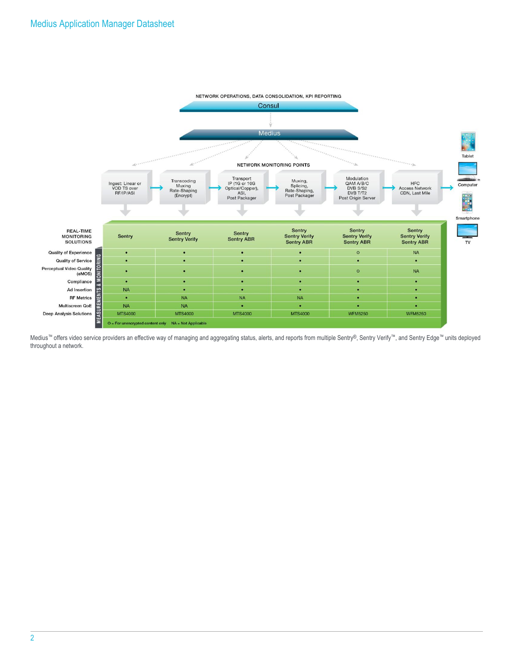

Medius™ offers video service providers an effective way of managing and aggregating status, alerts, and reports from multiple Sentry®, Sentry Verify™, and Sentry Edge™ units deployed throughout a network.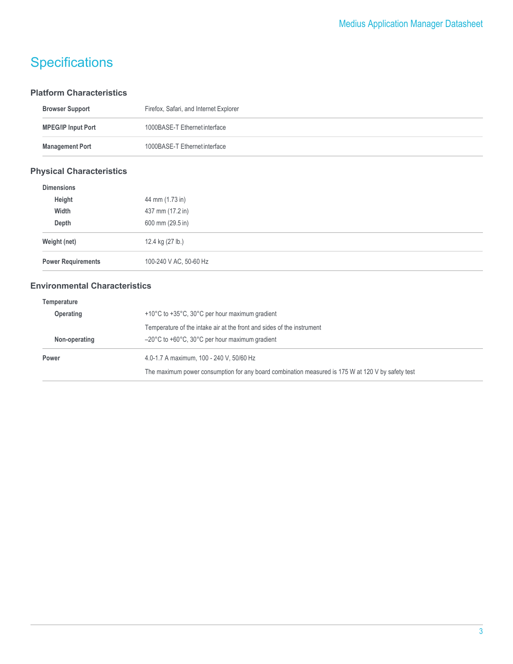# **Specifications**

#### **Platform Characteristics**

| <b>Browser Support</b>    | Firefox, Safari, and Internet Explorer |
|---------------------------|----------------------------------------|
| <b>MPEG/IP Input Port</b> | 1000BASE-T Ethernet interface          |
| <b>Management Port</b>    | 1000BASE-T Ethernet interface          |
|                           |                                        |

#### **Physical Characteristics**

| <b>Dimensions</b>         |                        |
|---------------------------|------------------------|
| Height                    | 44 mm (1.73 in)        |
| Width                     | 437 mm (17.2 in)       |
| Depth                     | 600 mm (29.5 in)       |
| Weight (net)              | 12.4 kg (27 lb.)       |
| <b>Power Requirements</b> | 100-240 V AC, 50-60 Hz |

### **Environmental Characteristics**

| Temperature   |                                                                                                   |  |
|---------------|---------------------------------------------------------------------------------------------------|--|
| Operating     | +10°C to +35°C, 30°C per hour maximum gradient                                                    |  |
|               | Temperature of the intake air at the front and sides of the instrument                            |  |
| Non-operating | $-20^{\circ}$ C to +60 $^{\circ}$ C, 30 $^{\circ}$ C per hour maximum gradient                    |  |
| Power         | 4.0-1.7 A maximum, 100 - 240 V, 50/60 Hz                                                          |  |
|               | The maximum power consumption for any board combination measured is 175 W at 120 V by safety test |  |